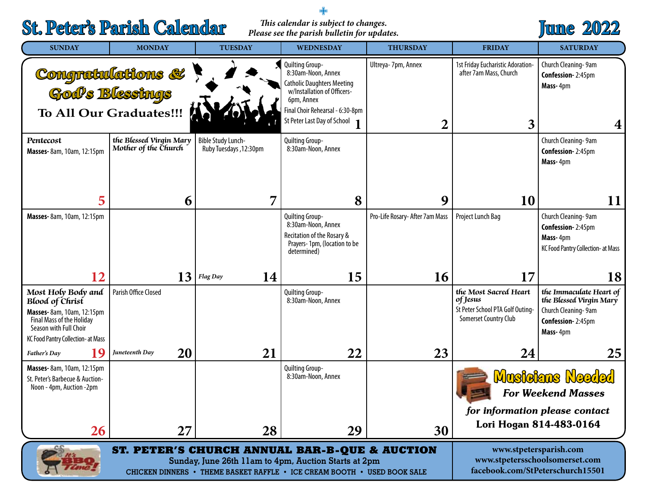# **St. Peter's Parish Calendar**

#### *This calendar is subject to changes. Please see the parish bulletin for updates.*

+



| <b>SUNDAY</b>                                                                                                                                                                                | <b>MONDAY</b>                                   | <b>TUESDAY</b>                                      | <b>WEDNESDAY</b>                                                                                                                                                                    | <b>THURSDAY</b>                      | <b>FRIDAY</b>                                                                                                     | <b>SATURDAY</b>                                                                                            |
|----------------------------------------------------------------------------------------------------------------------------------------------------------------------------------------------|-------------------------------------------------|-----------------------------------------------------|-------------------------------------------------------------------------------------------------------------------------------------------------------------------------------------|--------------------------------------|-------------------------------------------------------------------------------------------------------------------|------------------------------------------------------------------------------------------------------------|
|                                                                                                                                                                                              | Congratulations &<br>To All Our Graduates!!!    |                                                     | Quilting Group-<br>8:30am-Noon, Annex<br>Catholic Daughters Meeting<br>w/Installation of Officers-<br>6pm, Annex<br>Final Choir Rehearsal - 6:30-8pm<br>St Peter Last Day of School | Ultreya-7pm, Annex<br>$\overline{2}$ | 1st Friday Eucharistic Adoration-<br>after 7am Mass, Church<br>3                                                  | Church Cleaning-9am<br>Confession-2:45pm<br>Mass-4pm<br>4                                                  |
| Pentecost<br>Masses-8am, 10am, 12:15pm                                                                                                                                                       | the Blessed Virgin Mary<br>Mother of the Church | <b>Bible Study Lunch-</b><br>Ruby Tuesdays, 12:30pm | Quilting Group-<br>8:30am-Noon, Annex                                                                                                                                               |                                      |                                                                                                                   | Church Cleaning-9am<br><b>Confession-2:45pm</b><br>Mass-4pm                                                |
| 5                                                                                                                                                                                            | 6                                               | 7                                                   | 8                                                                                                                                                                                   | 9                                    | 10                                                                                                                | 11                                                                                                         |
| Masses-8am, 10am, 12:15pm                                                                                                                                                                    |                                                 |                                                     | Quilting Group-<br>8:30am-Noon, Annex<br>Recitation of the Rosary &<br>Prayers-1pm, (location to be<br>determined)                                                                  | Pro-Life Rosary- After 7am Mass      | Project Lunch Bag                                                                                                 | Church Cleaning-9am<br>Confession-2:45pm<br>Mass-4pm<br>KC Food Pantry Collection- at Mass                 |
| 12                                                                                                                                                                                           | 13                                              | 14<br><b>Flag Day</b>                               | 15                                                                                                                                                                                  | 16                                   | 17                                                                                                                | 18                                                                                                         |
| Most Holy Body and<br><b>Blood of Christ</b><br>Masses-8am, 10am, 12:15pm<br>Final Mass of the Holiday<br>Season with Full Choir<br>KC Food Pantry Collection- at Mass                       | Parish Office Closed                            |                                                     | Quilting Group-<br>8:30am-Noon, Annex                                                                                                                                               |                                      | the Most Sacred Heart<br>of Jesus<br>St Peter School PTA Golf Outing-<br><b>Somerset Country Club</b>             | the Immaculate Heart of<br>the Blessed Virgin Mary<br>Church Cleaning-9am<br>Confession-2:45pm<br>Mass-4pm |
| 19<br>Father's Day                                                                                                                                                                           | 20<br>Juneteenth Day                            | 21                                                  | 22                                                                                                                                                                                  | 23                                   | 24                                                                                                                | 25                                                                                                         |
| Masses-8am, 10am, 12:15pm<br>St. Peter's Barbecue & Auction-<br>Noon - 4pm, Auction -2pm<br>26                                                                                               | 27                                              | 28                                                  | Quilting Group-<br>8:30am-Noon, Annex<br>29                                                                                                                                         | 30                                   | <b>Musicians Needed</b><br><b>For Weekend Masses</b><br>for information please contact<br>Lori Hogan 814-483-0164 |                                                                                                            |
| <b>ST. PETER'S CHURCH ANNUAL BAR-B-QUE &amp; AUCTION</b><br>Sunday, June 26th 11am to 4pm, Auction Starts at 2pm<br>CHICKEN DINNERS • THEME BASKET RAFFLE • ICE CREAM BOOTH • USED BOOK SALE |                                                 |                                                     |                                                                                                                                                                                     |                                      | www.stpetersparish.com<br>www.stpetersschoolsomerset.com<br>facebook.com/StPeterschurch15501                      |                                                                                                            |